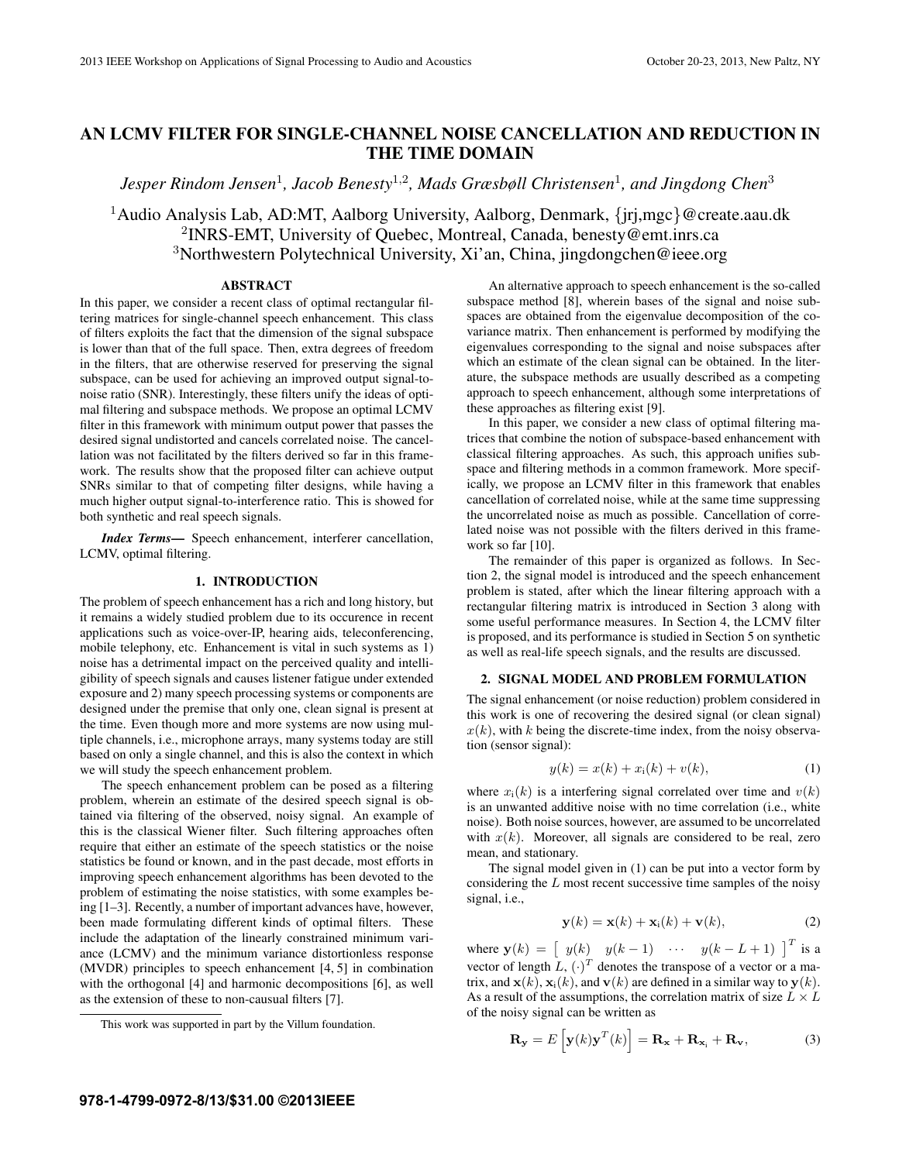# AN LCMV FILTER FOR SINGLE-CHANNEL NOISE CANCELLATION AND REDUCTION IN THE TIME DOMAIN

*Jesper Rindom Jensen*<sup>1</sup> *, Jacob Benesty*<sup>1</sup>,<sup>2</sup> *, Mads Græsbøll Christensen*<sup>1</sup> *, and Jingdong Chen*<sup>3</sup>

<sup>1</sup>Audio Analysis Lab, AD:MT, Aalborg University, Aalborg, Denmark, {jrj,mgc}@create.aau.dk 2 INRS-EMT, University of Quebec, Montreal, Canada, benesty@emt.inrs.ca <sup>3</sup>Northwestern Polytechnical University, Xi'an, China, jingdongchen@ieee.org

#### ABSTRACT

In this paper, we consider a recent class of optimal rectangular filtering matrices for single-channel speech enhancement. This class of filters exploits the fact that the dimension of the signal subspace is lower than that of the full space. Then, extra degrees of freedom in the filters, that are otherwise reserved for preserving the signal subspace, can be used for achieving an improved output signal-tonoise ratio (SNR). Interestingly, these filters unify the ideas of optimal filtering and subspace methods. We propose an optimal LCMV filter in this framework with minimum output power that passes the desired signal undistorted and cancels correlated noise. The cancellation was not facilitated by the filters derived so far in this framework. The results show that the proposed filter can achieve output SNRs similar to that of competing filter designs, while having a much higher output signal-to-interference ratio. This is showed for both synthetic and real speech signals.

*Index Terms*— Speech enhancement, interferer cancellation, LCMV, optimal filtering.

## 1. INTRODUCTION

The problem of speech enhancement has a rich and long history, but it remains a widely studied problem due to its occurence in recent applications such as voice-over-IP, hearing aids, teleconferencing, mobile telephony, etc. Enhancement is vital in such systems as 1) noise has a detrimental impact on the perceived quality and intelligibility of speech signals and causes listener fatigue under extended exposure and 2) many speech processing systems or components are designed under the premise that only one, clean signal is present at the time. Even though more and more systems are now using multiple channels, i.e., microphone arrays, many systems today are still based on only a single channel, and this is also the context in which we will study the speech enhancement problem.

The speech enhancement problem can be posed as a filtering problem, wherein an estimate of the desired speech signal is obtained via filtering of the observed, noisy signal. An example of this is the classical Wiener filter. Such filtering approaches often require that either an estimate of the speech statistics or the noise statistics be found or known, and in the past decade, most efforts in improving speech enhancement algorithms has been devoted to the problem of estimating the noise statistics, with some examples being [1–3]. Recently, a number of important advances have, however, been made formulating different kinds of optimal filters. These include the adaptation of the linearly constrained minimum variance (LCMV) and the minimum variance distortionless response (MVDR) principles to speech enhancement [4, 5] in combination with the orthogonal [4] and harmonic decompositions [6], as well as the extension of these to non-causual filters [7].

An alternative approach to speech enhancement is the so-called subspace method [8], wherein bases of the signal and noise subspaces are obtained from the eigenvalue decomposition of the covariance matrix. Then enhancement is performed by modifying the eigenvalues corresponding to the signal and noise subspaces after which an estimate of the clean signal can be obtained. In the literature, the subspace methods are usually described as a competing approach to speech enhancement, although some interpretations of these approaches as filtering exist [9].

In this paper, we consider a new class of optimal filtering matrices that combine the notion of subspace-based enhancement with classical filtering approaches. As such, this approach unifies subspace and filtering methods in a common framework. More specifically, we propose an LCMV filter in this framework that enables cancellation of correlated noise, while at the same time suppressing the uncorrelated noise as much as possible. Cancellation of correlated noise was not possible with the filters derived in this framework so far [10].

The remainder of this paper is organized as follows. In Section 2, the signal model is introduced and the speech enhancement problem is stated, after which the linear filtering approach with a rectangular filtering matrix is introduced in Section 3 along with some useful performance measures. In Section 4, the LCMV filter is proposed, and its performance is studied in Section 5 on synthetic as well as real-life speech signals, and the results are discussed.

# 2. SIGNAL MODEL AND PROBLEM FORMULATION

The signal enhancement (or noise reduction) problem considered in this work is one of recovering the desired signal (or clean signal)  $x(k)$ , with k being the discrete-time index, from the noisy observation (sensor signal):

$$
y(k) = x(k) + xi(k) + v(k),
$$
 (1)

where  $x_i(k)$  is a interfering signal correlated over time and  $v(k)$ is an unwanted additive noise with no time correlation (i.e., white noise). Both noise sources, however, are assumed to be uncorrelated with  $x(k)$ . Moreover, all signals are considered to be real, zero mean, and stationary.

The signal model given in (1) can be put into a vector form by considering the  $L$  most recent successive time samples of the noisy signal, i.e.,

$$
\mathbf{y}(k) = \mathbf{x}(k) + \mathbf{x}_i(k) + \mathbf{v}(k),\tag{2}
$$

where  $\mathbf{y}(k) = \begin{bmatrix} y(k) & y(k-1) & \cdots & y(k-L+1) \end{bmatrix}^T$  is a vector of length L,  $(\cdot)^T$  denotes the transpose of a vector or a matrix, and  $\mathbf{x}(k)$ ,  $\mathbf{x}_i(k)$ , and  $\mathbf{v}(k)$  are defined in a similar way to  $\mathbf{y}(k)$ . As a result of the assumptions, the correlation matrix of size  $L \times L$ of the noisy signal can be written as

$$
\mathbf{R}_{\mathbf{y}} = E\left[\mathbf{y}(k)\mathbf{y}^{T}(k)\right] = \mathbf{R}_{\mathbf{x}} + \mathbf{R}_{\mathbf{x}_{i}} + \mathbf{R}_{\mathbf{v}},
$$
 (3)

This work was supported in part by the Villum foundation.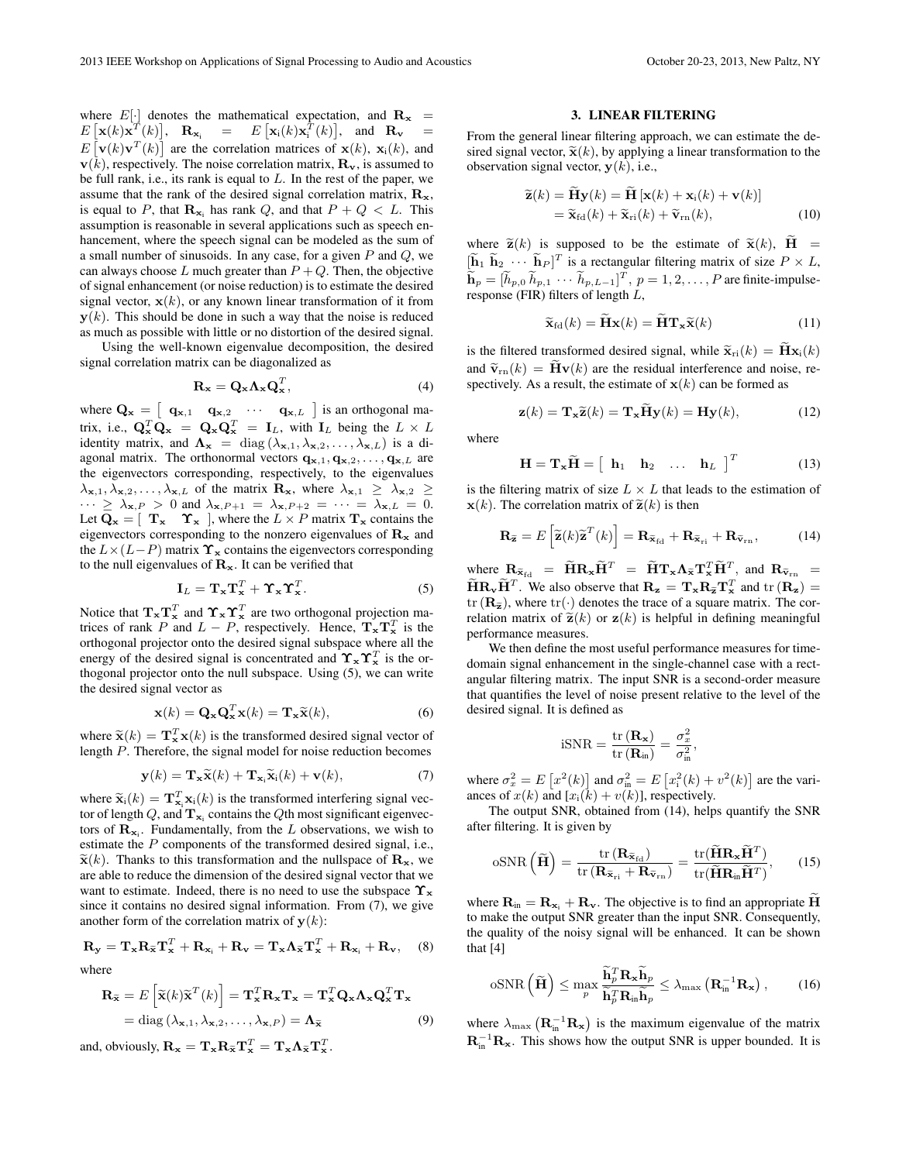where  $E[\cdot]$  denotes the mathematical expectation, and  $\mathbf{R}_{\mathbf{x}}$  =  $E\left[\mathbf{x}(k)\mathbf{x}^T(k)\right], \quad \mathbf{R}_{\mathbf{x}_i} = E\left[\mathbf{x}_i(k)\mathbf{x}_i^T(k)\right], \quad \text{and} \quad \mathbf{R}_{\mathbf{v}} =$  $E[\mathbf{v}(k)\mathbf{v}^T(k)]$  are the correlation matrices of  $\mathbf{x}(k)$ ,  $\mathbf{x}_i(k)$ , and  $\mathbf{v}(\tilde{k})$ , respectively. The noise correlation matrix,  $\mathbf{R}_{v}$ , is assumed to be full rank, i.e., its rank is equal to  $L$ . In the rest of the paper, we assume that the rank of the desired signal correlation matrix,  $\mathbf{R}_{\mathbf{x}}$ , is equal to P, that  $\mathbf{R}_{\mathbf{x}_i}$  has rank Q, and that  $P + Q < L$ . This assumption is reasonable in several applications such as speech enhancement, where the speech signal can be modeled as the sum of a small number of sinusoids. In any case, for a given  $P$  and  $Q$ , we can always choose L much greater than  $P + Q$ . Then, the objective of signal enhancement (or noise reduction) is to estimate the desired signal vector,  $\mathbf{x}(k)$ , or any known linear transformation of it from  $y(k)$ . This should be done in such a way that the noise is reduced as much as possible with little or no distortion of the desired signal.

Using the well-known eigenvalue decomposition, the desired signal correlation matrix can be diagonalized as

$$
\mathbf{R}_{\mathbf{x}} = \mathbf{Q}_{\mathbf{x}} \mathbf{\Lambda}_{\mathbf{x}} \mathbf{Q}_{\mathbf{x}}^T, \tag{4}
$$

where  $\mathbf{Q}_{\mathbf{x}} = \begin{bmatrix} \mathbf{q}_{\mathbf{x},1} & \mathbf{q}_{\mathbf{x},2} & \cdots & \mathbf{q}_{\mathbf{x},L} \end{bmatrix}$  is an orthogonal matrix, i.e.,  $\mathbf{Q}_{\mathbf{x}}^T \mathbf{Q}_{\mathbf{x}} = \mathbf{Q}_{\mathbf{x}} \mathbf{Q}_{\mathbf{x}}^T = \mathbf{I}_L$ , with  $\mathbf{I}_L$  being the  $L \times L$ identity matrix, and  $\Lambda_{\mathbf{x}} = \text{diag}(\lambda_{\mathbf{x},1}, \lambda_{\mathbf{x},2}, \dots, \lambda_{\mathbf{x},L})$  is a diagonal matrix. The orthonormal vectors  $\mathbf{q}_{\mathbf{x},1}, \mathbf{q}_{\mathbf{x},2}, \ldots, \mathbf{q}_{\mathbf{x},L}$  are the eigenvectors corresponding, respectively, to the eigenvalues  $\lambda_{\mathbf{x},1}, \lambda_{\mathbf{x},2}, \ldots, \lambda_{\mathbf{x},L}$  of the matrix  $\mathbf{R}_{\mathbf{x}},$  where  $\lambda_{\mathbf{x},1} \geq \lambda_{\mathbf{x},2} \geq$  $\cdots \geq \lambda_{\mathbf{x},P} > 0$  and  $\lambda_{\mathbf{x},P+1} = \lambda_{\mathbf{x},P+2} = \cdots = \lambda_{\mathbf{x},L} = 0.$ Let  $\mathbf{Q_x} = [\mathbf{T_x} \quad \mathbf{\hat{T}_x} \]$ , where the  $L \times P$  matrix  $\mathbf{T_x}$  contains the eigenvectors corresponding to the nonzero eigenvalues of  $\mathbf{R}_{\mathbf{x}}$  and the  $L \times (L-P)$  matrix  $\Upsilon_x$  contains the eigenvectors corresponding to the null eigenvalues of  $\mathbf{R}_{\mathbf{x}}$ . It can be verified that

$$
\mathbf{I}_L = \mathbf{T_x} \mathbf{T_x}^T + \mathbf{\hat{T}_x} \mathbf{\hat{T}_x}^T.
$$
 (5)

Notice that  $T_x T_x^T$  and  $\Upsilon_x \Upsilon_x^T$  are two orthogonal projection matrices of rank P and  $L - P$ , respectively. Hence,  $T_x T_x^T$  is the orthogonal projector onto the desired signal subspace where all the energy of the desired signal is concentrated and  $\Upsilon_{\mathbf{x}} \Upsilon_{\mathbf{x}}^T$  is the orthogonal projector onto the null subspace. Using (5), we can write the desired signal vector as

$$
\mathbf{x}(k) = \mathbf{Q}_{\mathbf{x}} \mathbf{Q}_{\mathbf{x}}^T \mathbf{x}(k) = \mathbf{T}_{\mathbf{x}} \tilde{\mathbf{x}}(k),
$$
 (6)

where  $\tilde{\mathbf{x}}(k) = \mathbf{T}_{\mathbf{x}}^T \mathbf{x}(k)$  is the transformed desired signal vector of langth *P*. Therefore, the signal model for noise reduction becomes length P. Therefore, the signal model for noise reduction becomes

$$
\mathbf{y}(k) = \mathbf{T}_{\mathbf{x}} \widetilde{\mathbf{x}}(k) + \mathbf{T}_{\mathbf{x}_i} \widetilde{\mathbf{x}}_i(k) + \mathbf{v}(k),
$$
 (7)

where  $\widetilde{\mathbf{x}}_i(k) = \mathbf{T}_{\mathbf{x}_i}^T \mathbf{x}_i(k)$  is the transformed interfering signal vector of length  $\Omega$  and  $\mathbf{T}_{\text{c}}$  contains the *O*th most significant eigenvector tor of length  $Q$ , and  $\mathbf{T}_{\mathbf{x}_i}$  contains the  $Q$ th most significant eigenvectors of  $\mathbf{R}_{\mathbf{x}_i}$ . Fundamentally, from the L observations, we wish to estimate the P components of the transformed desired signal, i.e.,  $\widetilde{\mathbf{x}}(k)$ . Thanks to this transformation and the nullspace of  $\mathbf{R}_{\mathbf{x}}$ , we are able to reduce the dimension of the desired signal vector that we want to estimate. Indeed, there is no need to use the subspace  $\Upsilon_{\mathbf{x}}$ since it contains no desired signal information. From (7), we give another form of the correlation matrix of  $y(k)$ :

$$
\mathbf{R}_{\mathbf{y}} = \mathbf{T}_{\mathbf{x}} \mathbf{R}_{\widetilde{\mathbf{x}}} \mathbf{T}_{\mathbf{x}}^T + \mathbf{R}_{\mathbf{x}_i} + \mathbf{R}_{\mathbf{v}} = \mathbf{T}_{\mathbf{x}} \mathbf{\Lambda}_{\widetilde{\mathbf{x}}} \mathbf{T}_{\mathbf{x}}^T + \mathbf{R}_{\mathbf{x}_i} + \mathbf{R}_{\mathbf{v}}, \quad (8)
$$

where

$$
\mathbf{R}_{\tilde{\mathbf{x}}} = E\left[\tilde{\mathbf{x}}(k)\tilde{\mathbf{x}}^{T}(k)\right] = \mathbf{T}_{\mathbf{x}}^{T} \mathbf{R}_{\mathbf{x}} \mathbf{T}_{\mathbf{x}} = \mathbf{T}_{\mathbf{x}}^{T} \mathbf{Q}_{\mathbf{x}} \mathbf{\Lambda}_{\mathbf{x}} \mathbf{Q}_{\mathbf{x}}^{T} \mathbf{T}_{\mathbf{x}}
$$

$$
= \text{diag}\left(\lambda_{\mathbf{x},1}, \lambda_{\mathbf{x},2}, \ldots, \lambda_{\mathbf{x},P}\right) = \mathbf{\Lambda}_{\tilde{\mathbf{x}}} \tag{9}
$$

and, obviously,  $\mathbf{R}_{\mathbf{x}} = \mathbf{T}_{\mathbf{x}} \mathbf{R}_{\widetilde{\mathbf{x}}} \mathbf{T}_{\mathbf{x}}^T = \mathbf{T}_{\mathbf{x}} \mathbf{\Lambda}_{\widetilde{\mathbf{x}}} \mathbf{T}_{\mathbf{x}}^T$ .

#### 3. LINEAR FILTERING

From the general linear filtering approach, we can estimate the desired signal vector,  $\tilde{\mathbf{x}}(k)$ , by applying a linear transformation to the observation signal vector,  $y(k)$ , i.e.,

$$
\widetilde{\mathbf{z}}(k) = \mathbf{H}\mathbf{y}(k) = \mathbf{H}\left[\mathbf{x}(k) + \mathbf{x}_i(k) + \mathbf{v}(k)\right] \n= \widetilde{\mathbf{x}}_{\text{fd}}(k) + \widetilde{\mathbf{x}}_{\text{ri}}(k) + \widetilde{\mathbf{v}}_{\text{rn}}(k),
$$
\n(10)

where  $\widetilde{\mathbf{z}}(k)$  is supposed to be the estimate of  $\widetilde{\mathbf{x}}(k)$ ,  $\widetilde{\mathbf{H}} =$  $[\widetilde{\mathbf{h}}_1 \ \widetilde{\mathbf{h}}_2 \ \cdots \ \widetilde{\mathbf{h}}_P]^T$  is a rectangular filtering matrix of size  $P \times L$ ,  $\widetilde{\mathbf{h}}_p = [\widetilde{h}_{p,0} \widetilde{h}_{p,1} \cdots \widetilde{h}_{p,L-1}]^T$ ,  $p = 1, 2, \ldots, P$  are finite-impulseresponse (FIR) filters of length L,

$$
\widetilde{\mathbf{x}}_{\mathrm{fd}}(k) = \widetilde{\mathbf{H}} \mathbf{x}(k) = \widetilde{\mathbf{H}} \mathbf{T}_{\mathbf{x}} \widetilde{\mathbf{x}}(k)
$$
 (11)

is the filtered transformed desired signal, while  $\widetilde{\mathbf{x}}_{ri}(k) = \mathbf{H}\mathbf{x}_i(k)$ and  $\widetilde{\mathbf{v}}_{rn}(k) = \widetilde{\mathbf{H}} \mathbf{v}(k)$  are the residual interference and noise, respectively. As a result, the estimate of  $x(k)$  can be formed as

$$
\mathbf{z}(k) = \mathbf{T}_{\mathbf{x}} \widetilde{\mathbf{z}}(k) = \mathbf{T}_{\mathbf{x}} \widetilde{\mathbf{H}} \mathbf{y}(k) = \mathbf{H} \mathbf{y}(k), \tag{12}
$$

where

$$
\mathbf{H} = \mathbf{T}_{\mathbf{x}} \widetilde{\mathbf{H}} = \begin{bmatrix} \mathbf{h}_1 & \mathbf{h}_2 & \dots & \mathbf{h}_L \end{bmatrix}^T
$$
 (13)

is the filtering matrix of size  $L \times L$  that leads to the estimation of  $\mathbf{x}(k)$ . The correlation matrix of  $\widetilde{\mathbf{z}}(k)$  is then

$$
\mathbf{R}_{\widetilde{\mathbf{z}}} = E\left[\widetilde{\mathbf{z}}(k)\widetilde{\mathbf{z}}^{T}(k)\right] = \mathbf{R}_{\widetilde{\mathbf{x}}_{\text{fd}}} + \mathbf{R}_{\widetilde{\mathbf{x}}_{\text{ri}}} + \mathbf{R}_{\widetilde{\mathbf{v}}_{\text{rn}}},
$$
(14)

where  $\mathbf{R}_{\tilde{\mathbf{x}}_{\text{fd}}}$  =  $\widetilde{\mathbf{H}} \mathbf{R}_{\mathbf{x}} \widetilde{\mathbf{H}}^T$  =  $\widetilde{\mathbf{H}} \mathbf{T}_{\mathbf{x}} \mathbf{\Lambda}_{\widetilde{\mathbf{x}}} \mathbf{T}_{\mathbf{x}}^T \widetilde{\mathbf{H}}^T$ , and  $\mathbf{R}_{\widetilde{\mathbf{v}}_{\text{rn}}}$  =  $\widetilde{\mathbf{H}}\mathbf{R}_{\mathbf{v}}\widetilde{\mathbf{H}}^T$ . We also observe that  $\mathbf{R}_{\mathbf{z}} = \mathbf{T}_{\mathbf{x}}\mathbf{R}_{\widetilde{\mathbf{z}}}\mathbf{T}_{\mathbf{x}}^T$  and  $\text{tr}(\mathbf{R}_{\mathbf{z}}) =$  $\text{tr}(\mathbf{R}_{\tilde{\mathbf{z}}})$ , where  $\text{tr}(\cdot)$  denotes the trace of a square matrix. The correlation matrix of  $\tilde{\mathbf{z}}(k)$  or  $\mathbf{z}(k)$  is helpful in defining meaningful performance measures.

We then define the most useful performance measures for timedomain signal enhancement in the single-channel case with a rectangular filtering matrix. The input SNR is a second-order measure that quantifies the level of noise present relative to the level of the desired signal. It is defined as

$$
\mathrm{iSNR} = \frac{\mathrm{tr}\left(\mathbf{R_x}\right)}{\mathrm{tr}\left(\mathbf{R}_{\text{in}}\right)} = \frac{\sigma_x^2}{\sigma_{\text{in}}^2},
$$

where  $\sigma_x^2 = E[x^2(k)]$  and  $\sigma_{\text{in}}^2 = E[x_i^2(k) + v^2(k)]$  are the variances of  $x(k)$  and  $[x_i(k) + v(k)]$ , respectively.

The output SNR, obtained from (14), helps quantify the SNR after filtering. It is given by

$$
\text{oSNR}\left(\widetilde{\mathbf{H}}\right) = \frac{\text{tr}\left(\mathbf{R}_{\widetilde{\mathbf{x}}_{\text{fd}}}\right)}{\text{tr}\left(\mathbf{R}_{\widetilde{\mathbf{x}}_{\text{ri}}} + \mathbf{R}_{\widetilde{\mathbf{v}}_{\text{rn}}}\right)} = \frac{\text{tr}(\widetilde{\mathbf{H}}\mathbf{R}_{\mathbf{x}}\widetilde{\mathbf{H}}^T)}{\text{tr}(\widetilde{\mathbf{H}}\mathbf{R}_{\text{in}}\widetilde{\mathbf{H}}^T)},\qquad(15)
$$

where  $\mathbf{R}_{in} = \mathbf{R}_{\mathbf{x}_i} + \mathbf{R}_{\mathbf{v}}$ . The objective is to find an appropriate  $\widetilde{\mathbf{H}}$ to make the output SNR greater than the input SNR. Consequently, the quality of the noisy signal will be enhanced. It can be shown that [4]

$$
\mathrm{oSNR}\left(\widetilde{\mathbf{H}}\right) \leq \max_{p} \frac{\widetilde{\mathbf{h}}_{p}^{T} \mathbf{R}_{\mathbf{x}} \widetilde{\mathbf{h}}_{p}}{\widetilde{\mathbf{h}}_{p}^{T} \mathbf{R}_{\mathrm{in}} \widetilde{\mathbf{h}}_{p}} \leq \lambda_{\mathrm{max}}\left(\mathbf{R}_{\mathrm{in}}^{-1} \mathbf{R}_{\mathbf{x}}\right),\qquad(16)
$$

where  $\lambda_{\text{max}}\left(\mathbf{R}_{\text{in}}^{-1}\mathbf{R}_{\textbf{x}}\right)$  is the maximum eigenvalue of the matrix  $\mathbf{R}_{\text{in}}^{-1} \mathbf{R}_{\mathbf{x}}$ . This shows how the output SNR is upper bounded. It is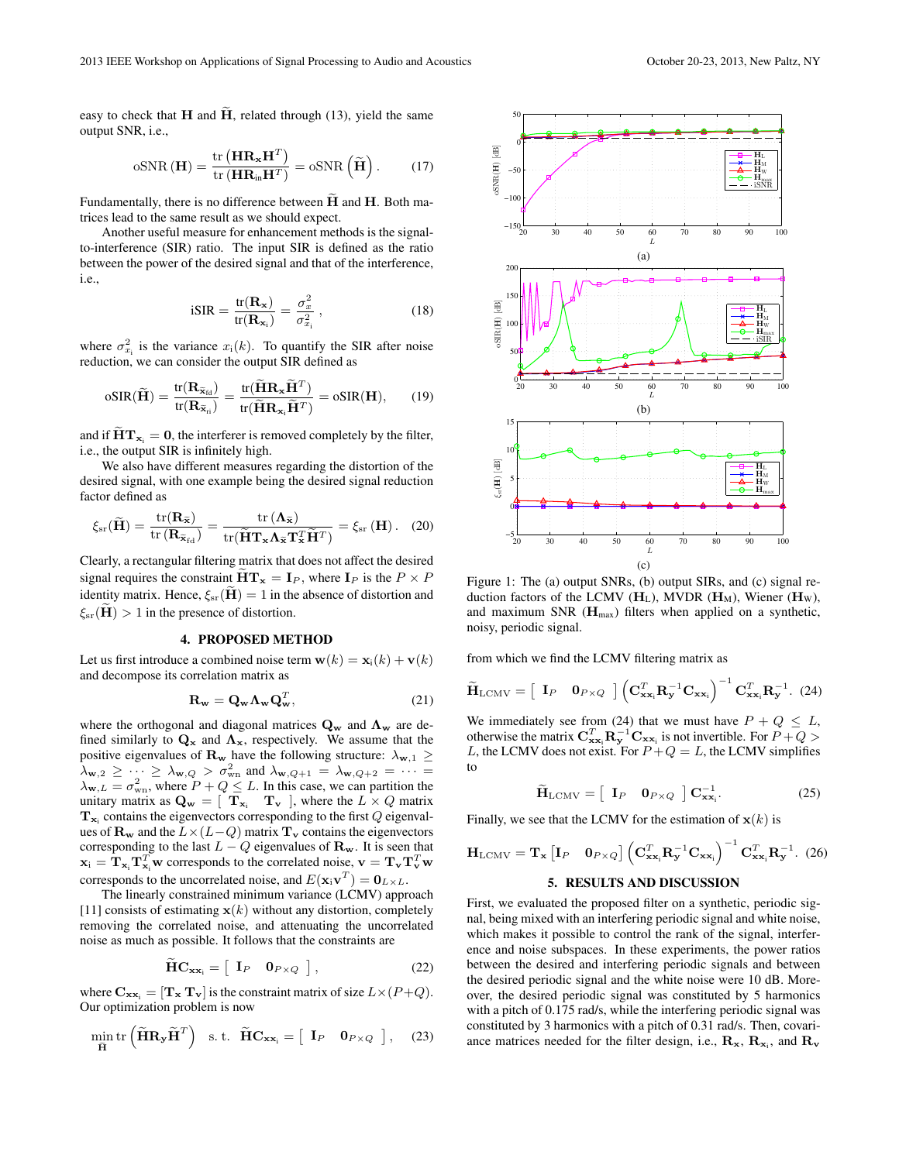easy to check that  $H$  and  $H$ , related through (13), yield the same output SNR, i.e.,

$$
\text{oSNR}(\mathbf{H}) = \frac{\text{tr}(\mathbf{H}\mathbf{R}_{\mathbf{x}}\mathbf{H}^T)}{\text{tr}(\mathbf{H}\mathbf{R}_{\text{in}}\mathbf{H}^T)} = \text{oSNR}(\widetilde{\mathbf{H}}).
$$
 (17)

Fundamentally, there is no difference between  $H$  and  $H$ . Both matrices lead to the same result as we should expect.

Another useful measure for enhancement methods is the signalto-interference (SIR) ratio. The input SIR is defined as the ratio between the power of the desired signal and that of the interference, i.e.,

$$
iSIR = \frac{\text{tr}(\mathbf{R}_{\mathbf{x}})}{\text{tr}(\mathbf{R}_{\mathbf{x}_i})} = \frac{\sigma_x^2}{\sigma_{x_i}^2},
$$
\n(18)

where  $\sigma_{x_i}^2$  is the variance  $x_i(k)$ . To quantify the SIR after noise reduction, we can consider the output SIR defined as

$$
\mathrm{oSIR}(\widetilde{\mathbf{H}}) = \frac{\mathrm{tr}(\mathbf{R}_{\widetilde{\mathbf{x}}_{\mathrm{fd}}})}{\mathrm{tr}(\mathbf{R}_{\widetilde{\mathbf{x}}_{\mathrm{fl}}})} = \frac{\mathrm{tr}(\widetilde{\mathbf{H}}\mathbf{R}_{\mathbf{x}}\widetilde{\mathbf{H}}^T)}{\mathrm{tr}(\widetilde{\mathbf{H}}\mathbf{R}_{\mathbf{x}_1}\widetilde{\mathbf{H}}^T)} = \mathrm{oSIR}(\mathbf{H}),\qquad(19)
$$

and if  $\mathbf{HT}_{\mathbf{x}_i} = 0$ , the interferer is removed completely by the filter, i.e., the output SIR is infinitely high.

We also have different measures regarding the distortion of the desired signal, with one example being the desired signal reduction factor defined as

$$
\xi_{\rm sr}(\widetilde{\mathbf{H}}) = \frac{\rm tr(\mathbf{R}_{\widetilde{\mathbf{x}}})}{\rm tr(\mathbf{R}_{\widetilde{\mathbf{x}}_{\rm fd}})} = \frac{\rm tr(\Lambda_{\widetilde{\mathbf{x}}})}{\rm tr(\widetilde{\mathbf{H}}\mathbf{T}_{\mathbf{x}}\Lambda_{\widetilde{\mathbf{x}}}\mathbf{T}_{\mathbf{x}}^T\widetilde{\mathbf{H}}^T)} = \xi_{\rm sr}(\mathbf{H}). \quad (20)
$$

Clearly, a rectangular filtering matrix that does not affect the desired signal requires the constraint  $\tilde{\mathbf{H}}\mathbf{T}_{\mathbf{x}} = \mathbf{I}_P$ , where  $\mathbf{I}_P$  is the  $P \times P$ identity matrix. Hence,  $\xi_{sr}(\mathbf{H}) = 1$  in the absence of distortion and  $\xi_{\rm sr}(\mathbf{H}) > 1$  in the presence of distortion.

## 4. PROPOSED METHOD

Let us first introduce a combined noise term  $\mathbf{w}(k) = \mathbf{x}_i(k) + \mathbf{v}(k)$ and decompose its correlation matrix as

$$
\mathbf{R}_{\mathbf{w}} = \mathbf{Q}_{\mathbf{w}} \Lambda_{\mathbf{w}} \mathbf{Q}_{\mathbf{w}}^T, \tag{21}
$$

where the orthogonal and diagonal matrices  $Q_w$  and  $\Lambda_w$  are defined similarly to  $\mathbf{Q}_{\mathbf{x}}$  and  $\mathbf{\Lambda}_{\mathbf{x}}$ , respectively. We assume that the positive eigenvalues of  $\mathbf{R}_{\mathbf{w}}$  have the following structure:  $\lambda_{\mathbf{w},1} \geq$  $\lambda_{\mathbf{w},2} \geq \cdots \geq \lambda_{\mathbf{w},Q} > \sigma_{\text{wn}}^2$  and  $\lambda_{\mathbf{w},Q+1} = \lambda_{\mathbf{w},Q+2} = \cdots =$  $\lambda_{\mathbf{w},L} = \sigma_{\text{wn}}^2$ , where  $P + Q \leq L$ . In this case, we can partition the unitary matrix as  $\mathbf{Q_w} = [\mathbf{T_{x_i}} \quad \mathbf{T_v}]$ , where the  $L \times Q$  matrix  $\mathbf{T}_{\mathbf{x}_i}$  contains the eigenvectors corresponding to the first  $Q$  eigenvalues of  $\mathbf{R}_{\mathbf{w}}$  and the  $L \times (L-Q)$  matrix  $\mathbf{T}_{\mathbf{v}}$  contains the eigenvectors corresponding to the last  $L - Q$  eigenvalues of  $\mathbf{R}_{\mathbf{w}}$ . It is seen that  $\mathbf{x}_i = \mathbf{T}_{\mathbf{x}_i} \mathbf{T}_{\mathbf{x}_i}^T \mathbf{w}$  corresponds to the correlated noise,  $\mathbf{v} = \mathbf{T}_{\mathbf{v}} \mathbf{T}_{\mathbf{v}}^T \mathbf{w}$ corresponds to the uncorrelated noise, and  $E(\mathbf{x}_i \mathbf{v}^T) = \mathbf{0}_{L \times L}$ .

The linearly constrained minimum variance (LCMV) approach [11] consists of estimating  $x(k)$  without any distortion, completely removing the correlated noise, and attenuating the uncorrelated noise as much as possible. It follows that the constraints are

$$
\widetilde{\mathbf{H}}\mathbf{C}_{\mathbf{x}\mathbf{x}_{i}} = \begin{bmatrix} \mathbf{I}_{P} & \mathbf{0}_{P \times Q} \end{bmatrix},\tag{22}
$$

where  $\mathbf{C}_{\mathbf{xx}_i} = [\mathbf{T}_{\mathbf{x}} \mathbf{T}_{\mathbf{v}}]$  is the constraint matrix of size  $L \times (P+Q)$ . Our optimization problem is now

$$
\min_{\widetilde{\mathbf{H}}} \text{tr}\left(\widetilde{\mathbf{H}}\mathbf{R}_{\mathbf{y}}\widetilde{\mathbf{H}}^{T}\right) \quad \text{s. t.} \quad \widetilde{\mathbf{H}}\mathbf{C}_{\mathbf{x}\mathbf{x}_{i}} = \left[\begin{array}{cc} \mathbf{I}_{P} & \mathbf{0}_{P \times Q} \end{array}\right], \quad (23)
$$



Figure 1: The (a) output SNRs, (b) output SIRs, and (c) signal reduction factors of the LCMV ( $H_L$ ), MVDR ( $H_M$ ), Wiener ( $H_W$ ), and maximum SNR  $(H_{max})$  filters when applied on a synthetic, noisy, periodic signal.

from which we find the LCMV filtering matrix as

$$
\widetilde{\mathbf{H}}_{\text{LCMV}} = \left[ \begin{array}{cc} \mathbf{I}_P & \mathbf{0}_{P \times Q} \end{array} \right] \left( \mathbf{C}_{\mathbf{x} \mathbf{x}_i}^T \mathbf{R}_{\mathbf{y}}^{-1} \mathbf{C}_{\mathbf{x} \mathbf{x}_i} \right)^{-1} \mathbf{C}_{\mathbf{x} \mathbf{x}_i}^T \mathbf{R}_{\mathbf{y}}^{-1}.
$$
 (24)

We immediately see from (24) that we must have  $P + Q \leq L$ , otherwise the matrix  $C_{xx_i}^T R_y^{-1} C_{xx_i}$  is not invertible. For  $P+Q >$ L, the LCMV does not exist. For  $P + Q = L$ , the LCMV simplifies to

$$
\widetilde{\mathbf{H}}_{\text{LCMV}} = \left[ \begin{array}{cc} \mathbf{I}_P & \mathbf{0}_{P \times Q} \end{array} \right] \mathbf{C}_{\mathbf{x} \mathbf{x}_i}^{-1}.
$$
 (25)

Finally, we see that the LCMV for the estimation of  $x(k)$  is

$$
\mathbf{H}_{\text{LCMV}} = \mathbf{T}_{\mathbf{x}} \left[ \mathbf{I}_{P} \quad \mathbf{0}_{P \times Q} \right] \left( \mathbf{C}_{\mathbf{x} \mathbf{x}_{i}}^{T} \mathbf{R}_{\mathbf{y}}^{-1} \mathbf{C}_{\mathbf{x} \mathbf{x}_{i}} \right)^{-1} \mathbf{C}_{\mathbf{x} \mathbf{x}_{i}}^{T} \mathbf{R}_{\mathbf{y}}^{-1}.
$$
 (26)

### 5. RESULTS AND DISCUSSION

First, we evaluated the proposed filter on a synthetic, periodic signal, being mixed with an interfering periodic signal and white noise, which makes it possible to control the rank of the signal, interference and noise subspaces. In these experiments, the power ratios between the desired and interfering periodic signals and between the desired periodic signal and the white noise were 10 dB. Moreover, the desired periodic signal was constituted by 5 harmonics with a pitch of 0.175 rad/s, while the interfering periodic signal was constituted by 3 harmonics with a pitch of 0.31 rad/s. Then, covariance matrices needed for the filter design, i.e.,  $\mathbf{R}_{\mathbf{x}}$ ,  $\mathbf{R}_{\mathbf{x}_i}$ , and  $\mathbf{R}_{\mathbf{v}}$